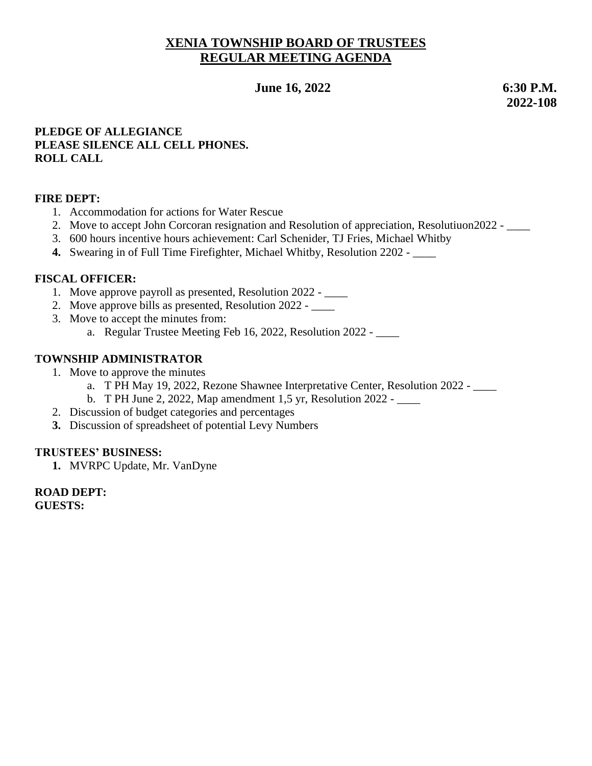# **XENIA TOWNSHIP BOARD OF TRUSTEES REGULAR MEETING AGENDA**

 **June 16, 2022 6:30 P.M.**

 **2022-108**

### **PLEDGE OF ALLEGIANCE PLEASE SILENCE ALL CELL PHONES. ROLL CALL**

### **FIRE DEPT:**

- 1. Accommodation for actions for Water Rescue
- 2. Move to accept John Corcoran resignation and Resolution of appreciation, Resolutiuon2022 \_\_\_\_
- 3. 600 hours incentive hours achievement: Carl Schenider, TJ Fries, Michael Whitby
- **4.** Swearing in of Full Time Firefighter, Michael Whitby, Resolution 2202 \_\_\_\_

### **FISCAL OFFICER:**

- 1. Move approve payroll as presented, Resolution 2022 \_\_\_\_
- 2. Move approve bills as presented, Resolution 2022 \_\_\_\_\_
- 3. Move to accept the minutes from:
	- a. Regular Trustee Meeting Feb 16, 2022, Resolution 2022 \_\_\_\_

# **TOWNSHIP ADMINISTRATOR**

- 1. Move to approve the minutes
	- a. T PH May 19, 2022, Rezone Shawnee Interpretative Center, Resolution 2022 \_\_\_\_
	- b. T PH June 2, 2022, Map amendment 1,5 yr, Resolution 2022 \_\_\_\_
- 2. Discussion of budget categories and percentages
- **3.** Discussion of spreadsheet of potential Levy Numbers

### **TRUSTEES' BUSINESS:**

**1.** MVRPC Update, Mr. VanDyne

**ROAD DEPT: GUESTS:**